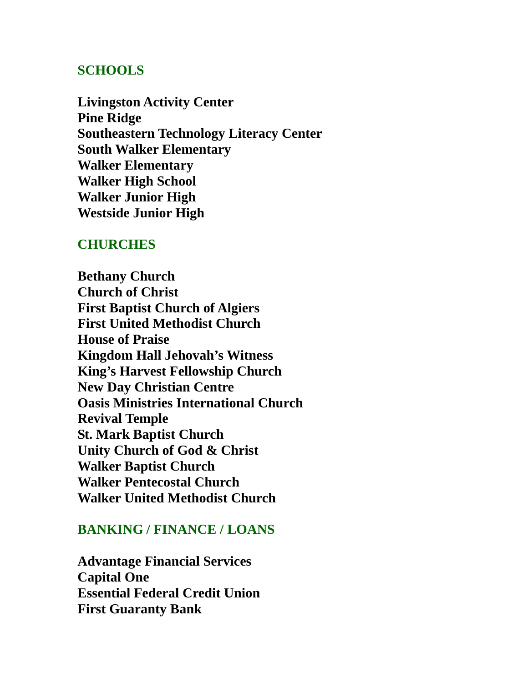## **SCHOOLS**

**Livingston Activity Center Pine Ridge Southeastern Technology Literacy Center South Walker Elementary Walker Elementary Walker High School Walker Junior High Westside Junior High**

#### **CHURCHES**

**Bethany Church Church of Christ First Baptist Church of Algiers First United Methodist Church House of Praise Kingdom Hall Jehovah's Witness King's Harvest Fellowship Church New Day Christian Centre Oasis Ministries International Church Revival Temple St. Mark Baptist Church Unity Church of God & Christ Walker Baptist Church Walker Pentecostal Church Walker United Methodist Church**

## **BANKING / FINANCE / LOANS**

**Advantage Financial Services Capital One Essential Federal Credit Union First Guaranty Bank**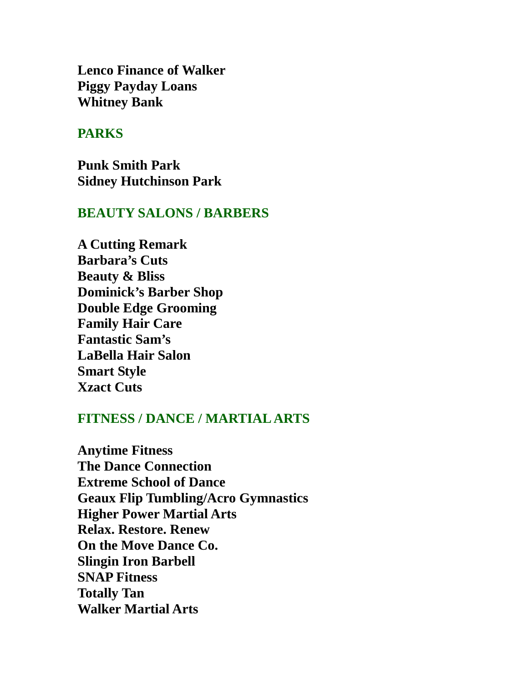**Lenco Finance of Walker Piggy Payday Loans Whitney Bank**

#### **PARKS**

**Punk Smith Park Sidney Hutchinson Park**

#### **BEAUTY SALONS / BARBERS**

**A Cutting Remark Barbara's Cuts Beauty & Bliss Dominick's Barber Shop Double Edge Grooming Family Hair Care Fantastic Sam's LaBella Hair Salon Smart Style Xzact Cuts**

### **FITNESS / DANCE / MARTIAL ARTS**

**Anytime Fitness The Dance Connection Extreme School of Dance Geaux Flip Tumbling/Acro Gymnastics Higher Power Martial Arts Relax. Restore. Renew On the Move Dance Co. Slingin Iron Barbell SNAP Fitness Totally Tan Walker Martial Arts**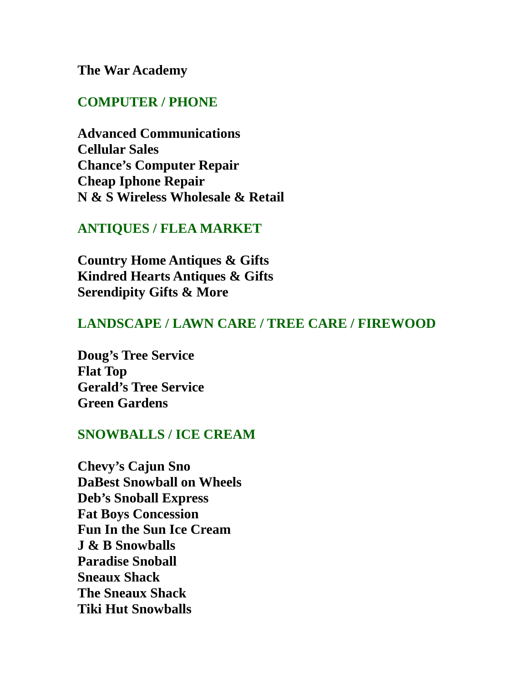### **The War Academy**

#### **COMPUTER / PHONE**

**Advanced Communications Cellular Sales Chance's Computer Repair Cheap Iphone Repair N & S Wireless Wholesale & Retail**

### **ANTIQUES / FLEA MARKET**

**Country Home Antiques & Gifts Kindred Hearts Antiques & Gifts Serendipity Gifts & More**

## **LANDSCAPE / LAWN CARE / TREE CARE / FIREWOOD**

**Doug's Tree Service Flat Top Gerald's Tree Service Green Gardens**

## **SNOWBALLS / ICE CREAM**

**Chevy's Cajun Sno DaBest Snowball on Wheels Deb's Snoball Express Fat Boys Concession Fun In the Sun Ice Cream J & B Snowballs Paradise Snoball Sneaux Shack The Sneaux Shack Tiki Hut Snowballs**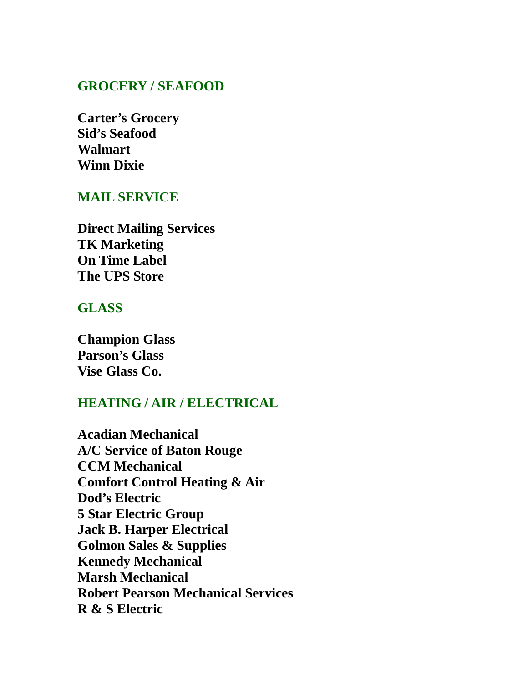## **GROCERY / SEAFOOD**

**Carter's Grocery Sid's Seafood Walmart Winn Dixie**

### **MAIL SERVICE**

**Direct Mailing Services TK Marketing On Time Label The UPS Store**

## **GLASS**

**Champion Glass Parson's Glass Vise Glass Co.**

# **HEATING / AIR / ELECTRICAL**

**Acadian Mechanical A/C Service of Baton Rouge CCM Mechanical Comfort Control Heating & Air Dod's Electric 5 Star Electric Group Jack B. Harper Electrical Golmon Sales & Supplies Kennedy Mechanical Marsh Mechanical Robert Pearson Mechanical Services R & S Electric**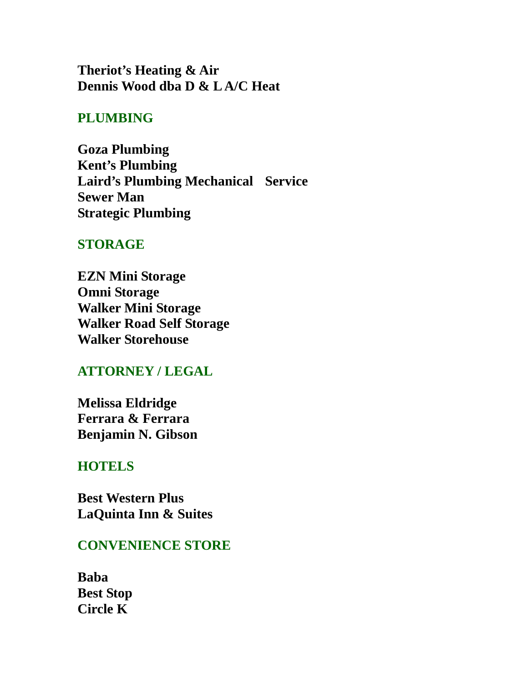**Theriot's Heating & Air Dennis Wood dba D & L A/C Heat**

# **PLUMBING**

**Goza Plumbing Kent's Plumbing Laird's Plumbing Mechanical Service Sewer Man Strategic Plumbing**

#### **STORAGE**

**EZN Mini Storage Omni Storage Walker Mini Storage Walker Road Self Storage Walker Storehouse**

# **ATTORNEY / LEGAL**

**Melissa Eldridge Ferrara & Ferrara Benjamin N. Gibson**

### **HOTELS**

**Best Western Plus LaQuinta Inn & Suites**

#### **CONVENIENCE STORE**

**Baba Best Stop Circle K**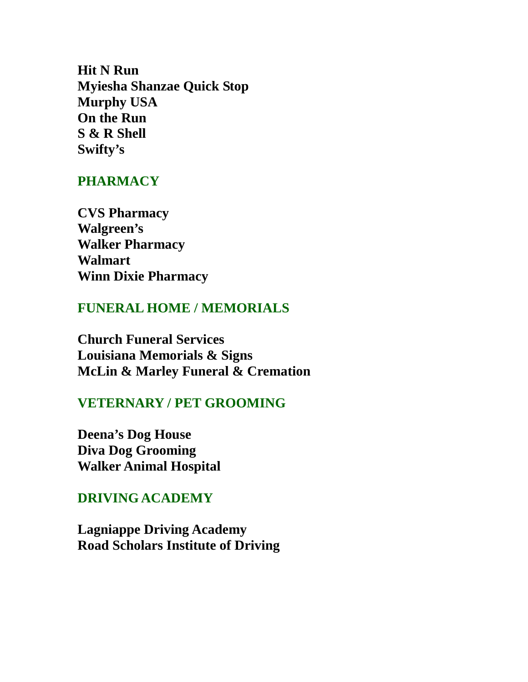**Hit N Run Myiesha Shanzae Quick Stop Murphy USA On the Run S & R Shell Swifty's**

### **PHARMACY**

**CVS Pharmacy Walgreen's Walker Pharmacy Walmart Winn Dixie Pharmacy**

#### **FUNERAL HOME / MEMORIALS**

**Church Funeral Services Louisiana Memorials & Signs McLin & Marley Funeral & Cremation**

## **VETERNARY / PET GROOMING**

**Deena's Dog House Diva Dog Grooming Walker Animal Hospital**

## **DRIVING ACADEMY**

**Lagniappe Driving Academy Road Scholars Institute of Driving**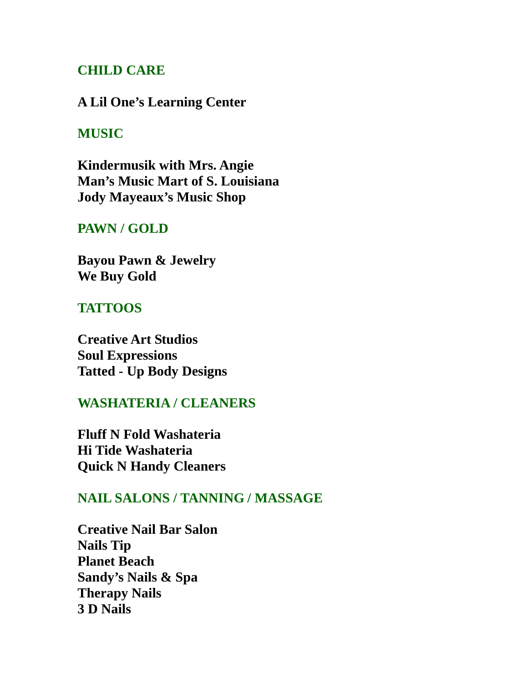# **CHILD CARE**

#### **A Lil One's Learning Center**

## **MUSIC**

**Kindermusik with Mrs. Angie Man's Music Mart of S. Louisiana Jody Mayeaux's Music Shop**

### **PAWN / GOLD**

**Bayou Pawn & Jewelry We Buy Gold**

### **TATTOOS**

**Creative Art Studios Soul Expressions Tatted - Up Body Designs**

## **WASHATERIA / CLEANERS**

**Fluff N Fold Washateria Hi Tide Washateria Quick N Handy Cleaners**

# **NAIL SALONS / TANNING / MASSAGE**

**Creative Nail Bar Salon Nails Tip Planet Beach Sandy's Nails & Spa Therapy Nails 3 D Nails**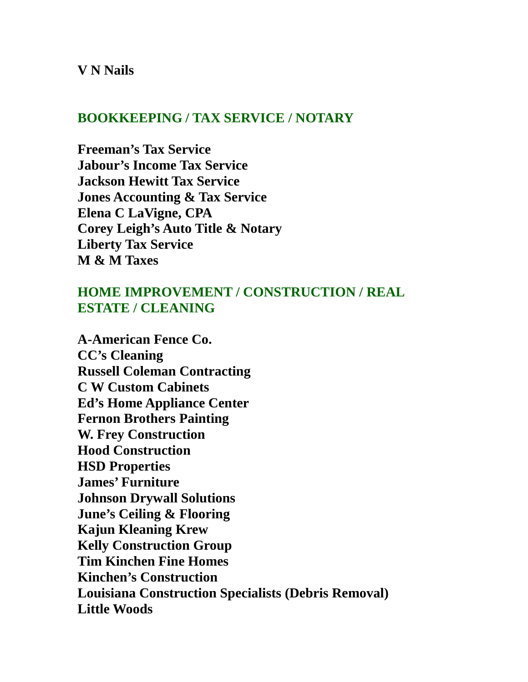#### **V N Nails**

### **BOOKKEEPING / TAX SERVICE / NOTARY**

**Freeman's Tax Service Jabour's Income Tax Service Jackson Hewitt Tax Service Jones Accounting & Tax Service Elena C LaVigne, CPA Corey Leigh's Auto Title & Notary Liberty Tax Service M & M Taxes**

# **HOME IMPROVEMENT / CONSTRUCTION / REAL ESTATE / CLEANING**

**A-American Fence Co. CC's Cleaning Russell Coleman Contracting C W Custom Cabinets Ed's Home Appliance Center Fernon Brothers Painting W. Frey Construction Hood Construction HSD Properties James' Furniture Johnson Drywall Solutions June's Ceiling & Flooring Kajun Kleaning Krew Kelly Construction Group Tim Kinchen Fine Homes Kinchen's Construction Louisiana Construction Specialists (Debris Removal) Little Woods**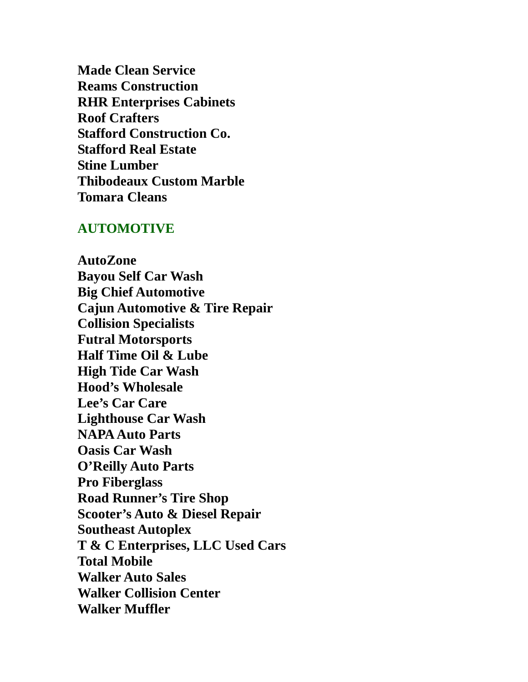**Made Clean Service Reams Construction RHR Enterprises Cabinets Roof Crafters Stafford Construction Co. Stafford Real Estate Stine Lumber Thibodeaux Custom Marble Tomara Cleans**

#### **AUTOMOTIVE**

**AutoZone Bayou Self Car Wash Big Chief Automotive Cajun Automotive & Tire Repair Collision Specialists Futral Motorsports Half Time Oil & Lube High Tide Car Wash Hood's Wholesale Lee's Car Care Lighthouse Car Wash NAPA Auto Parts Oasis Car Wash O'Reilly Auto Parts Pro Fiberglass Road Runner's Tire Shop Scooter's Auto & Diesel Repair Southeast Autoplex T & C Enterprises, LLC Used Cars Total Mobile Walker Auto Sales Walker Collision Center Walker Muffler**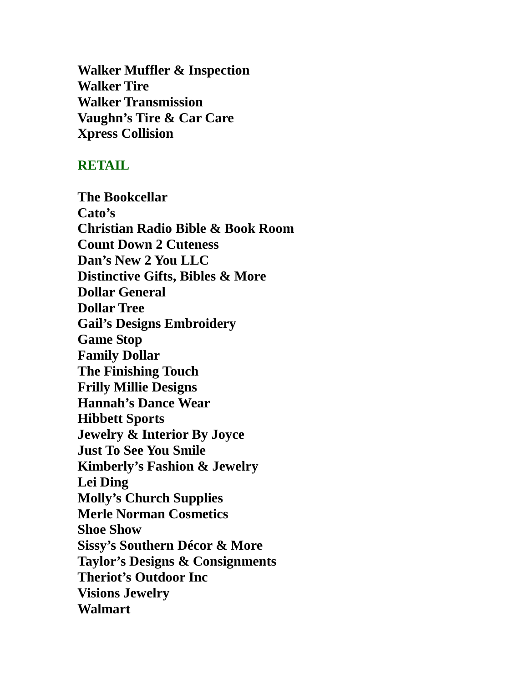**Walker Muffler & Inspection Walker Tire Walker Transmission Vaughn's Tire & Car Care Xpress Collision**

#### **RETAIL**

**The Bookcellar Cato's Christian Radio Bible & Book Room Count Down 2 Cuteness Dan's New 2 You LLC Distinctive Gifts, Bibles & More Dollar General Dollar Tree Gail's Designs Embroidery Game Stop Family Dollar The Finishing Touch Frilly Millie Designs Hannah's Dance Wear Hibbett Sports Jewelry & Interior By Joyce Just To See You Smile Kimberly's Fashion & Jewelry Lei Ding Molly's Church Supplies Merle Norman Cosmetics Shoe Show Sissy's Southern Décor & More Taylor's Designs & Consignments Theriot's Outdoor Inc Visions Jewelry Walmart**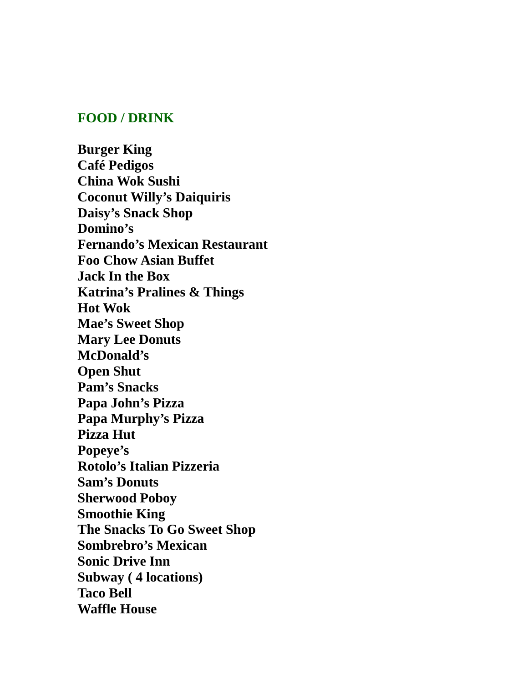### **FOOD / DRINK**

**Burger King Café Pedigos China Wok Sushi Coconut Willy's Daiquiris Daisy's Snack Shop Domino's Fernando's Mexican Restaurant Foo Chow Asian Buffet Jack In the Box Katrina's Pralines & Things Hot Wok Mae's Sweet Shop Mary Lee Donuts McDonald's Open Shut Pam's Snacks Papa John's Pizza Papa Murphy's Pizza Pizza Hut Popeye's Rotolo's Italian Pizzeria Sam's Donuts Sherwood Poboy Smoothie King The Snacks To Go Sweet Shop Sombrebro's Mexican Sonic Drive Inn Subway ( 4 locations) Taco Bell Waffle House**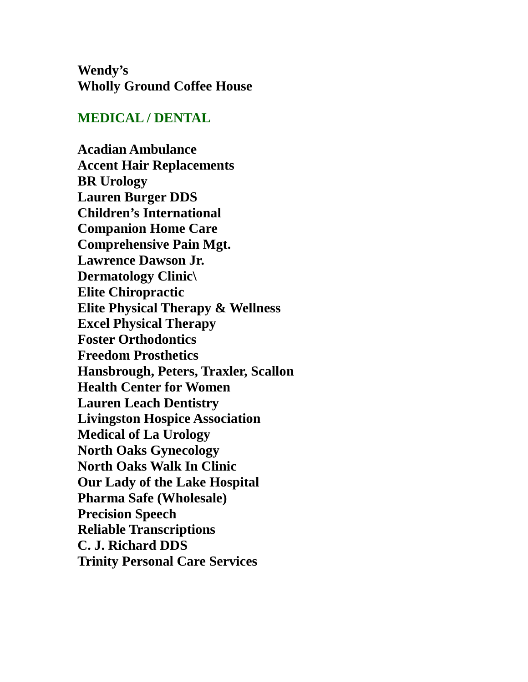**Wendy's Wholly Ground Coffee House**

### **MEDICAL / DENTAL**

**Acadian Ambulance Accent Hair Replacements BR Urology Lauren Burger DDS Children's International Companion Home Care Comprehensive Pain Mgt. Lawrence Dawson Jr. Dermatology Clinic\ Elite Chiropractic Elite Physical Therapy & Wellness Excel Physical Therapy Foster Orthodontics Freedom Prosthetics Hansbrough, Peters, Traxler, Scallon Health Center for Women Lauren Leach Dentistry Livingston Hospice Association Medical of La Urology North Oaks Gynecology North Oaks Walk In Clinic Our Lady of the Lake Hospital Pharma Safe (Wholesale) Precision Speech Reliable Transcriptions C. J. Richard DDS Trinity Personal Care Services**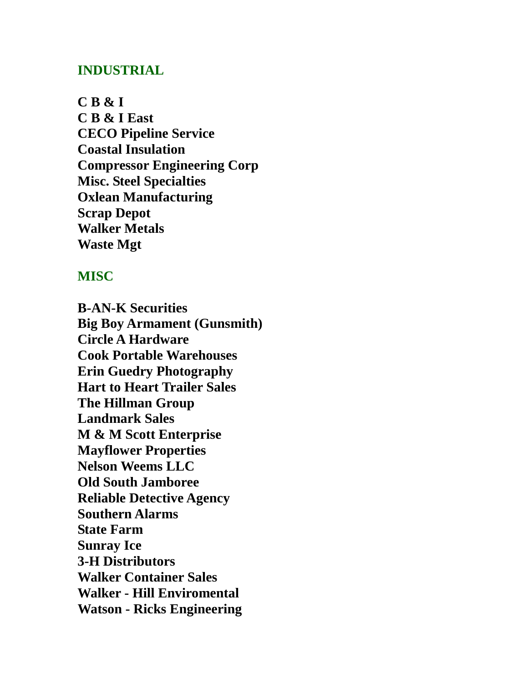### **INDUSTRIAL**

**C B & I C B & I East CECO Pipeline Service Coastal Insulation Compressor Engineering Corp Misc. Steel Specialties Oxlean Manufacturing Scrap Depot Walker Metals Waste Mgt**

#### **MISC**

**B-AN-K Securities Big Boy Armament (Gunsmith) Circle A Hardware Cook Portable Warehouses Erin Guedry Photography Hart to Heart Trailer Sales The Hillman Group Landmark Sales M & M Scott Enterprise Mayflower Properties Nelson Weems LLC Old South Jamboree Reliable Detective Agency Southern Alarms State Farm Sunray Ice 3-H Distributors Walker Container Sales Walker - Hill Enviromental Watson - Ricks Engineering**